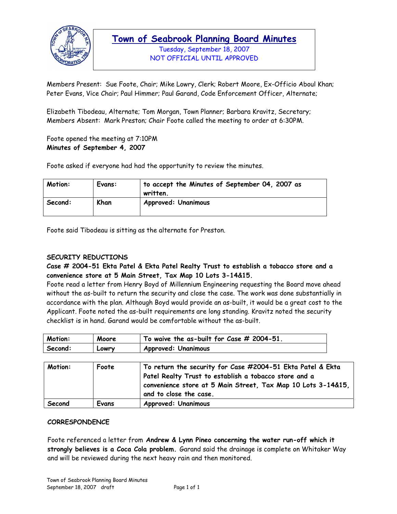

Tuesday, September 18, 2007 NOT OFFICIAL UNTIL APPROVED

Members Present: Sue Foote, Chair; Mike Lowry, Clerk; Robert Moore, Ex-Officio Aboul Khan; Peter Evans, Vice Chair; Paul Himmer; Paul Garand, Code Enforcement Officer, Alternate;

Elizabeth Tibodeau, Alternate; Tom Morgan, Town Planner; Barbara Kravitz, Secretary; Members Absent: Mark Preston; Chair Foote called the meeting to order at 6:30PM.

Foote opened the meeting at 7:10PM **Minutes of September 4, 2007** 

Foote asked if everyone had had the opportunity to review the minutes.

| Motion: | Evans: | to accept the Minutes of September 04, 2007 as<br>written. |
|---------|--------|------------------------------------------------------------|
| Second: | Khan   | <b>Approved: Unanimous</b>                                 |

Foote said Tibodeau is sitting as the alternate for Preston.

#### **SECURITY REDUCTIONS**

**Case # 2004-51 Ekta Patel & Ekta Patel Realty Trust to establish a tobacco store and a convenience store at 5 Main Street, Tax Map 10 Lots 3-14&15.** 

Foote read a letter from Henry Boyd of Millennium Engineering requesting the Board move ahead without the as-built to return the security and close the case. The work was done substantially in accordance with the plan. Although Boyd would provide an as-built, it would be a great cost to the Applicant. Foote noted the as-built requirements are long standing. Kravitz noted the security checklist is in hand. Garand would be comfortable without the as-built.

| Motion: | Moore   | To waive the as-built for Case $#$ 2004-51. |
|---------|---------|---------------------------------------------|
| Second: | – COMLA | <b>Approved: Unanimous</b>                  |

| Motion: | Foote | To return the security for Case #2004-51 Ekta Patel & Ekta<br>Patel Realty Trust to establish a tobacco store and a<br>convenience store at 5 Main Street, Tax Map 10 Lots 3-14&15,<br>and to close the case. |
|---------|-------|---------------------------------------------------------------------------------------------------------------------------------------------------------------------------------------------------------------|
| Second  | Evans | <b>Approved: Unanimous</b>                                                                                                                                                                                    |

#### **CORRESPONDENCE**

Foote referenced a letter from **Andrew & Lynn Pineo concerning the water run-off which it strongly believes is a Coca Cola problem.** Garand said the drainage is complete on Whitaker Way and will be reviewed during the next heavy rain and then monitored.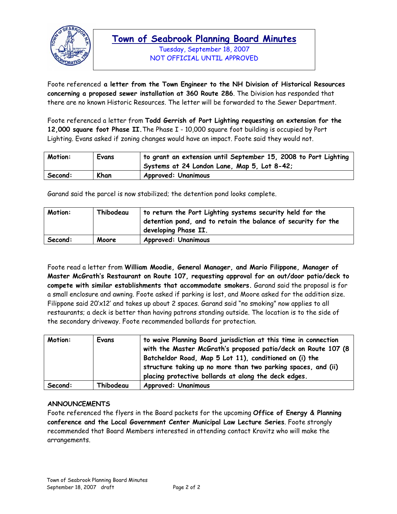

Tuesday, September 18, 2007 NOT OFFICIAL UNTIL APPROVED

Foote referenced **a letter from the Town Engineer to the NH Division of Historical Resources concerning a proposed sewer installation at 360 Route 286**. The Division has responded that there are no known Historic Resources. The letter will be forwarded to the Sewer Department.

Foote referenced a letter from **Todd Gerrish of Port Lighting requesting an extension for the 12,000 square foot Phase II.**The Phase I - 10,000 square foot building is occupied by Port Lighting. Evans asked if zoning changes would have an impact. Foote said they would not.

| Motion: | Evans | to grant an extension until September 15, 2008 to Port Lighting<br>Systems at 24 London Lane, Map 5, Lot 8-42; |
|---------|-------|----------------------------------------------------------------------------------------------------------------|
| Second: | Khan  | <b>Approved: Unanimous</b>                                                                                     |

Garand said the parcel is now stabilized; the detention pond looks complete.

| Motion: | Thibodeau | to return the Port Lighting systems security held for the<br>detention pond, and to retain the balance of security for the<br>developing Phase II. |
|---------|-----------|----------------------------------------------------------------------------------------------------------------------------------------------------|
| Second: | Moore     | <b>Approved: Unanimous</b>                                                                                                                         |

Foote read a letter from **William Moodie, General Manager, and Mario Filippone, Manager of Master McGrath's Restaurant on Route 107, requesting approval for an out/door patio/deck to compete with similar establishments that accommodate smokers.** Garand said the proposal is for a small enclosure and awning. Foote asked if parking is lost, and Moore asked for the addition size. Filippone said 20'x12' and takes up about 2 spaces. Garand said "no smoking" now applies to all restaurants; a deck is better than having patrons standing outside. The location is to the side of the secondary driveway. Foote recommended bollards for protection.

| Motion: | Evans     | to waive Planning Board jurisdiction at this time in connection<br>with the Master McGrath's proposed patio/deck on Route 107 (8<br>Batcheldor Road, Map 5 Lot 11), conditioned on (i) the<br>structure taking up no more than two parking spaces, and (ii)<br>placing protective bollards at along the deck edges. |
|---------|-----------|---------------------------------------------------------------------------------------------------------------------------------------------------------------------------------------------------------------------------------------------------------------------------------------------------------------------|
| Second: | Thibodeau | <b>Approved: Unanimous</b>                                                                                                                                                                                                                                                                                          |

#### **ANNOUNCEMENTS**

Foote referenced the flyers in the Board packets for the upcoming **Office of Energy & Planning conference and the Local Government Center Municipal Law Lecture Series**. Foote strongly recommended that Board Members interested in attending contact Kravitz who will make the arrangements.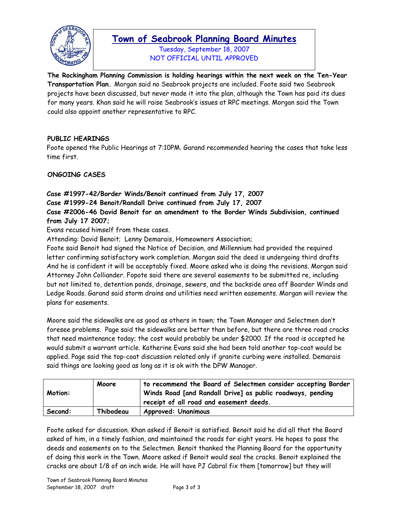

Tuesday, September 18, 2007 NOT OFFICIAL UNTIL APPROVED

**The Rockingham Planning Commission is holding hearings within the next week on the Ten-Year Transportation Plan.** Morgan said no Seabrook projects are included. Foote said two Seabrook projects have been discussed, but never made it into the plan, although the Town has paid its dues for many years. Khan said he will raise Seabrook's issues at RPC meetings. Morgan said the Town could also appoint another representative to RPC.

### **PUBLIC HEARINGS**

Foote opened the Public Hearings at 7:10PM. Garand recommended hearing the cases that take less time first.

### **ONGOING CASES**

### **Case #1997-42/Border Winds/Benoit continued from July 17, 2007**

**Case #1999-24 Benoit/Randall Drive continued from July 17, 2007** 

**Case #2006-46 David Benoit for an amendment to the Border Winds Subdivision, continued from July 17 2007;** 

Evans recused himself from these cases.

Attending: David Benoit; Lenny Demarais, Homeowners Association;

Foote said Benoit had signed the Notice of Decision, and Millennium had provided the required letter confirming satisfactory work completion. Morgan said the deed is undergoing third drafts And he is confident it will be acceptably fixed. Moore asked who is doing the revisions. Morgan said Attorney John Colliander. Fopote said there are several easements to be submitted re, including but not limited to, detention ponds, drainage, sewers, and the backside area off Boarder Winds and Ledge Roads. Garand said storm drains and utilities need written easements. Morgan will review the plans for easements.

Moore said the sidewalks are as good as others in town; the Town Manager and Selectmen don't foresee problems. Page said the sidewalks are better than before, but there are three road cracks that need maintenance today; the cost would probably be under \$2000. If the road is accepted he would submit a warrant article. Katherine Evans said she had been told another top-coat would be applied. Page said the top-coat discussion related only if granite curbing were installed. Demarais said things are looking good as long as it is ok with the DPW Manager.

| Motion: | Moore     | to recommend the Board of Selectmen consider accepting Border<br>Winds Road [and Randall Drive] as public roadways, pending<br>receipt of all road and easement deeds. |
|---------|-----------|------------------------------------------------------------------------------------------------------------------------------------------------------------------------|
| Second: | Thibodeau | <b>Approved: Unanimous</b>                                                                                                                                             |

Foote asked for discussion. Khan asked if Benoit is satisfied. Benoit said he did all that the Board asked of him, in a timely fashion, and maintained the roads for eight years. He hopes to pass the deeds and easements on to the Selectmen. Benoit thanked the Planning Board for the opportunity of doing this work in the Town. Moore asked if Benoit would seal the cracks. Benoit explained the cracks are about 1/8 of an inch wide. He will have PJ Cabral fix them [tomorrow] but they will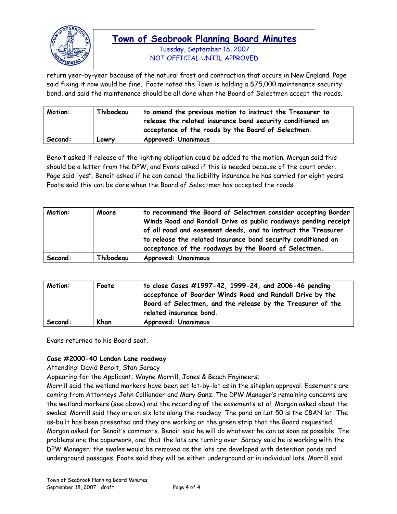

Tuesday, September 18, 2007 NOT OFFICIAL UNTIL APPROVED

return year-by-year because of the natural frost and contraction that occurs in New England. Page said fixing it now would be fine. Foote noted the Town is holding a \$75,000 maintenance security bond, and said the maintenance should be all done when the Board of Selectmen accept the roads.

| Motion: | Thibodeau | to amend the previous motion to instruct the Treasurer to<br>release the related insurance bond security conditioned on<br>acceptance of the roads by the Board of Selectmen. |
|---------|-----------|-------------------------------------------------------------------------------------------------------------------------------------------------------------------------------|
| Second: | Lowry     | <b>Approved: Unanimous</b>                                                                                                                                                    |

Benoit asked if release of the lighting obligation could be added to the motion. Morgan said this should be a letter from the DPW, and Evans asked if this is needed because of the court order. Page said "yes". Benoit asked if he can cancel the liability insurance he has carried for eight years. Foote said this can be done when the Board of Selectmen has accepted the roads.

| Motion: | Moore     | to recommend the Board of Selectmen consider accepting Border<br>Winds Road and Randall Drive as public roadways pending receipt<br>of all road and easement deeds, and to instruct the Treasurer<br>to release the related insurance bond security conditioned on<br>acceptance of the roadways by the Board of Selectmen. |
|---------|-----------|-----------------------------------------------------------------------------------------------------------------------------------------------------------------------------------------------------------------------------------------------------------------------------------------------------------------------------|
| Second: | Thibodeau | <b>Approved: Unanimous</b>                                                                                                                                                                                                                                                                                                  |

| Motion: | Foote | to close Cases #1997-42, 1999-24, and 2006-46 pending<br>acceptance of Boarder Winds Road and Randall Drive by the<br>Board of Selectmen, and the release by the Treasurer of the<br>related insurance bond. |
|---------|-------|--------------------------------------------------------------------------------------------------------------------------------------------------------------------------------------------------------------|
| Second: | Khan  | <b>Approved: Unanimous</b>                                                                                                                                                                                   |

Evans returned to his Board seat.

#### **Case #2000-40 London Lane roadway**

Attending: David Benoit, Stan Saracy

Appearing for the Applicant: Wayne Morrill, Jones & Beach Engineers;

Morrill said the wetland markers have been set lot-by-lot as in the siteplan approval. Easements are coming from Attorneys John Colliander and Mary Ganz. The DPW Manager's remaining concerns are the wetland markers (see above) and the recording of the easements et al. Morgan asked about the swales. Morrill said they are on six lots along the roadway. The pond on Lot 50 is the CBAN lot. The as-built has been presented and they are working on the green strip that the Board requested. Morgan asked for Benoit's comments. Benoit said he will do whatever he can as soon as possible. The problems are the paperwork, and that the lots are turning over. Saracy said he is working with the DPW Manager; the swales would be removed as the lots are developed with detention ponds and underground passages. Foote said they will be either underground or in individual lots. Morrill said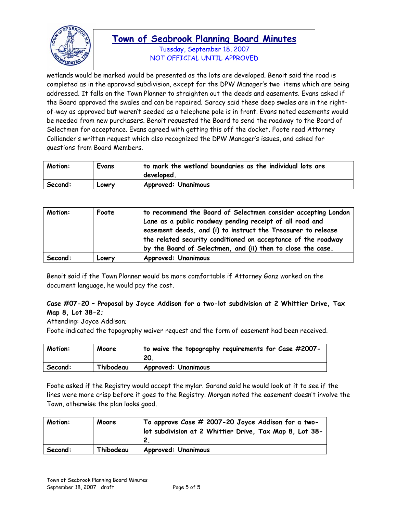

Tuesday, September 18, 2007 NOT OFFICIAL UNTIL APPROVED

wetlands would be marked would be presented as the lots are developed. Benoit said the road is completed as in the approved subdivision, except for the DPW Manager's two items which are being addressed. It falls on the Town Planner to straighten out the deeds and easements. Evans asked if the Board approved the swales and can be repaired. Saracy said these deep swales are in the rightof-way as approved but weren't seeded as a telephone pole is in front. Evans noted easements would be needed from new purchasers. Benoit requested the Board to send the roadway to the Board of Selectmen for acceptance. Evans agreed with getting this off the docket. Foote read Attorney Colliander's written request which also recognized the DPW Manager's issues, and asked for questions from Board Members.

| Motion: | Evans | to mark the wetland boundaries as the individual lots are<br>developed. |
|---------|-------|-------------------------------------------------------------------------|
| Second: | Lowry | <b>Approved: Unanimous</b>                                              |

| Motion: | Foote | to recommend the Board of Selectmen consider accepting London<br>Lane as a public roadway pending receipt of all road and<br>easement deeds, and (i) to instruct the Treasurer to release<br>the related security conditioned on acceptance of the roadway<br>by the Board of Selectmen, and (ii) then to close the case. |
|---------|-------|---------------------------------------------------------------------------------------------------------------------------------------------------------------------------------------------------------------------------------------------------------------------------------------------------------------------------|
| Second: | Lowry | <b>Approved: Unanimous</b>                                                                                                                                                                                                                                                                                                |

Benoit said if the Town Planner would be more comfortable if Attorney Ganz worked on the document language, he would pay the cost.

### **Case #07-20 – Proposal by Joyce Addison for a two-lot subdivision at 2 Whittier Drive, Tax Map 8, Lot 38-2;**

Attending: Joyce Addison;

Foote indicated the topography waiver request and the form of easement had been received.

| Motion: | Moore     | to waive the topography requirements for Case #2007-<br>20 |
|---------|-----------|------------------------------------------------------------|
| Second: | Thibodeau | <b>Approved: Unanimous</b>                                 |

Foote asked if the Registry would accept the mylar. Garand said he would look at it to see if the lines were more crisp before it goes to the Registry. Morgan noted the easement doesn't involve the Town, otherwise the plan looks good.

| Motion: | Moore     | To approve Case # 2007-20 Joyce Addison for a two-<br>lot subdivision at 2 Whittier Drive, Tax Map 8, Lot 38- |
|---------|-----------|---------------------------------------------------------------------------------------------------------------|
| Second: | Thibodeau | <b>Approved: Unanimous</b>                                                                                    |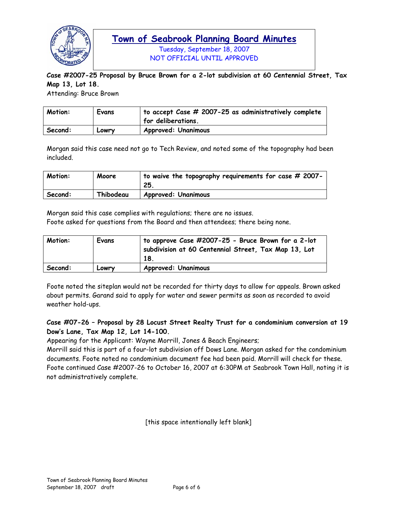

Tuesday, September 18, 2007 NOT OFFICIAL UNTIL APPROVED

**Case #2007-25 Proposal by Bruce Brown for a 2-lot subdivision at 60 Centennial Street, Tax Map 13, Lot 18.** 

Attending: Bruce Brown

| Motion: | Evans | $\vert$ to accept Case # 2007-25 as administratively complete<br>for deliberations. |
|---------|-------|-------------------------------------------------------------------------------------|
| Second: | Lowry | <b>Approved: Unanimous</b>                                                          |

Morgan said this case need not go to Tech Review, and noted some of the topography had been included.

| Motion: | Moore     | $^\dagger$ to waive the topography requirements for case # 2007-<br>25. |
|---------|-----------|-------------------------------------------------------------------------|
| Second: | Thibodeau | <b>Approved: Unanimous</b>                                              |

Morgan said this case complies with regulations; there are no issues. Foote asked for questions from the Board and then attendees; there being none.

| Motion: | Evans | to approve Case #2007-25 - Bruce Brown for a 2-lot<br>subdivision at 60 Centennial Street, Tax Map 13, Lot<br>18. |
|---------|-------|-------------------------------------------------------------------------------------------------------------------|
| Second: | Lowry | <b>Approved: Unanimous</b>                                                                                        |

Foote noted the siteplan would not be recorded for thirty days to allow for appeals. Brown asked about permits. Garand said to apply for water and sewer permits as soon as recorded to avoid weather hold-ups.

### **Case #07-26 – Proposal by 28 Locust Street Realty Trust for a condominium conversion at 19 Dow's Lane, Tax Map 12, Lot 14-100.**

Appearing for the Applicant: Wayne Morrill, Jones & Beach Engineers;

Morrill said this is part of a four-lot subdivision off Dows Lane. Morgan asked for the condominium documents. Foote noted no condominium document fee had been paid. Morrill will check for these. Foote continued Case #2007-26 to October 16, 2007 at 6:30PM at Seabrook Town Hall, noting it is not administratively complete.

[this space intentionally left blank]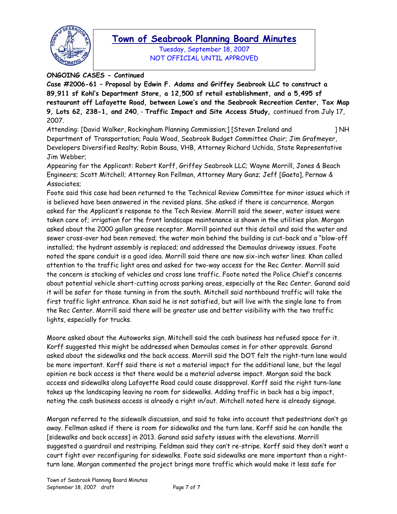

Tuesday, September 18, 2007 NOT OFFICIAL UNTIL APPROVED

**ONGOING CASES - Continued** 

**Case #2006-61 – Proposal by Edwin F. Adams and Griffey Seabrook LLC to construct a 89,911 sf Kohl's Department Store, a 12,500 sf retail establishment, and a 5,495 sf restaurant off Lafayette Road, between Lowe's and the Seabrook Recreation Center, Tax Map 9, Lots 62, 238-1, and 240**, - **Traffic Impact and Site Access Study,** continued from July 17, 2007.

Attending: [David Walker, Rockingham Planning Commission;] [Steven Ireland and ] NH Department of Transportation; Paula Wood, Seabrook Budget Committee Chair; Jim Grafmeyer, Developers Diversified Realty; Robin Bousa, VHB, Attorney Richard Uchida, State Representative Jim Webber;

Appearing for the Applicant: Robert Korff, Griffey Seabrook LLC; Wayne Morrill, Jones & Beach Engineers; Scott Mitchell; Attorney Ron Fellman, Attorney Mary Ganz; Jeff [Gaeta], Pernaw & Associates;

Foote said this case had been returned to the Technical Review Committee for minor issues which it is believed have been answered in the revised plans. She asked if there is concurrence. Morgan asked for the Applicant's response to the Tech Review. Morrill said the sewer, water issues were taken care of; irrigation for the front landscape maintenance is shown in the utilities plan. Morgan asked about the 2000 gallon grease receptor. Morrill pointed out this detail and said the water and sewer cross-over had been removed; the water main behind the building is cut-back and a "blow-off installed; the hydrant assembly is replaced; and addressed the Demoulas driveway issues. Foote noted the spare conduit is a good idea. Morrill said there are now six-inch water lines. Khan called attention to the traffic light area and asked for two-way access for the Rec Center. Morrill said the concern is stacking of vehicles and cross lane traffic. Foote noted the Police Chief's concerns about potential vehicle short-cutting across parking areas, especially at the Rec Center. Garand said it will be safer for those turning in from the south. Mitchell said northbound traffic will take the first traffic light entrance. Khan said he is not satisfied, but will live with the single lane to from the Rec Center. Morrill said there will be greater use and better visibility with the two traffic lights, especially for trucks.

Moore asked about the Autoworks sign. Mitchell said the cash business has refused space for it. Korff suggested this might be addressed when Demoulas comes in for other approvals. Garand asked about the sidewalks and the back access. Morrill said the DOT felt the right-turn lane would be more important. Korff said there is not a material impact for the additional lane, but the legal opinion re back access is that there would be a material adverse impact. Morgan said the back access and sidewalks along Lafayette Road could cause disapproval. Korff said the right turn-lane takes up the landscaping leaving no room for sidewalks. Adding traffic in back has a big impact, noting the cash business access is already a right in/out. Mitchell noted here is already signage.

Morgan referred to the sidewalk discussion, and said to take into account that pedestrians don't go away. Fellman asked if there is room for sidewalks and the turn lane. Korff said he can handle the [sidewalks and back access] in 2013. Garand said safety issues with the elevations. Morrill suggested a guardrail and restriping. Feldman said they can't re-stripe. Korff said they don't want a court fight over reconfiguring for sidewalks. Foote said sidewalks are more important than a rightturn lane. Morgan commented the project brings more traffic which would make it less safe for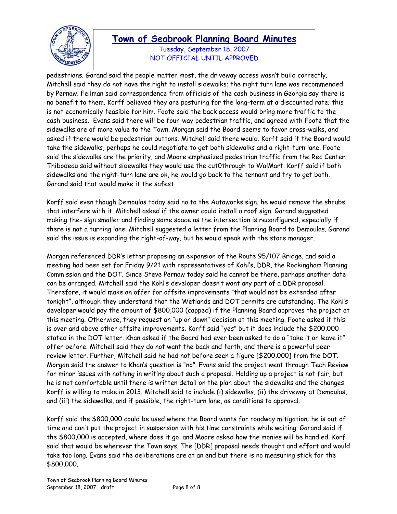

Tuesday, September 18, 2007 NOT OFFICIAL UNTIL APPROVED

pedestrians. Garand said the people matter most, the driveway access wasn't build correctly. Mitchell said they do not have the right to install sidewalks; the right turn lane was recommended by Pernaw. Fellman said correspondence from officials of the cash business in Georgia say there is no benefit to them. Korff believed they are posturing for the long-term at a discounted rate; this is not economically feasible for him. Foote said the back access would bring more traffic to the cash business. Evans said there will be four-way pedestrian traffic, and agreed with Foote that the sidewalks are of more value to the Town. Morgan said the Board seems to favor cross-walks, and asked if there would be pedestrian buttons. Mitchell said there would. Korff said if the Board would take the sidewalks, perhaps he could negotiate to get both sidewalks and a right-turn lane. Foote said the sidewalks are the priority, and Moore emphasized pedestrian traffic from the Rec Center. Thibodeau said without sidewalks they would use the cut0through to WalMart. Korff said if both sidewalks and the right-turn lane are ok, he would go back to the tennant and try to get both. Garand said that would make it the safest.

Korff said even though Demoulas today said no to the Autoworks sign, he would remove the shrubs that interfere with it. Mitchell asked if the owner could install a roof sign. Garand suggested making the- sign smaller and finding some space as the intersection is reconfigured, especially if there is not a turning lane. Mitchell suggested a letter from the Planning Board to Demoulas. Garand said the issue is expanding the right-of-way, but he would speak with the store manager.

Morgan referenced DDR's letter proposing an expansion of the Route 95/107 Bridge, and said a meeting had been set for Friday 9/21 with representatives of Kohl's, DDR, the Rockingham Planning Commission and the DOT. Since Steve Pernaw today said he cannot be there, perhaps another date can be arranged. Mitchell said the Kohl's developer doesn't want any part of a DDR proposal. Therefore, it would make an offer for offsite improvements "that would not be extended after tonight", although they understand that the Wetlands and DOT permits are outstanding. The Kohl's developer would pay the amount of \$800,000 (capped) if the Planning Board approves the project at this meeting. Otherwise, they request an "up or down" decision at this meeting. Foote asked if this is over and above other offsite improvements. Korff said "yes" but it does include the \$200,000 stated in the DOT letter. Khan asked if the Board had ever been asked to do a "take it or leave it" offer before. Mitchell said they do not want the back and forth, and there is a powerful peer review letter. Further, Mitchell said he had not before seen a figure [\$200,000] from the DOT. Morgan said the answer to Khan's question is "no". Evans said the project went through Tech Review for minor issues with nothing in writing about such a proposal. Holding up a project is not fair, but he is not comfortable until there is written detail on the plan about the sidewalks and the changes Korff is willing to make in 2013. Mitchell said to include (i) sidewalks, (ii) the driveway at Demoulas, and (iii) the sidewalks, and if possible, the right-turn lane, as conditions to approval.

Korff said the \$800,000 could be used where the Board wants for roadway mitigation; he is out of time and can't put the project in suspension with his time constraints while waiting. Garand said if the \$800,000 is accepted, where does it go, and Moore asked how the monies will be handled. Korf said that would be wherever the Town says. The [DDR] proposal needs thought and effort and would take too long. Evans said the deliberations are at an end but there is no measuring stick for the \$800,000.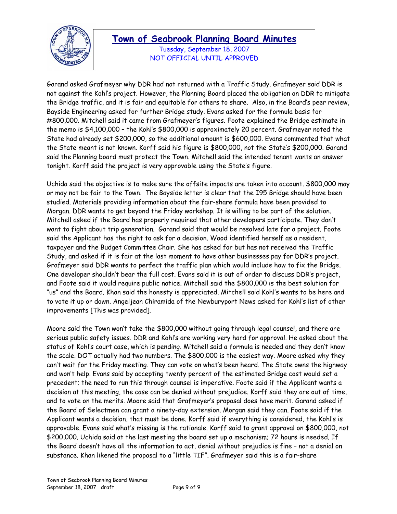

Tuesday, September 18, 2007 NOT OFFICIAL UNTIL APPROVED

Garand asked Grafmeyer why DDR had not returned with a Traffic Study. Grafmeyer said DDR is not against the Kohl's project. However, the Planning Board placed the obligation on DDR to mitigate the Bridge traffic, and it is fair and equitable for others to share. Also, in the Board's peer review, Bayside Engineering asked for further Bridge study. Evans asked for the formula basis for #800,000. Mitchell said it came from Grafmeyer's figures. Foote explained the Bridge estimate in the memo is \$4,100,000 – the Kohl's \$800,000 is approximately 20 percent. Grafmeyer noted the State had already set \$200,000, so the additional amount is \$600,000. Evans commented that what the State meant is not known. Korff said his figure is \$800,000, not the State's \$200,000. Garand said the Planning board must protect the Town. Mitchell said the intended tenant wants an answer tonight. Korff said the project is very approvable using the State's figure.

Uchida said the objective is to make sure the offsite impacts are taken into account. \$800,000 may or may not be fair to the Town. The Bayside letter is clear that the I95 Bridge should have been studied. Materials providing information about the fair-share formula have been provided to Morgan. DDR wants to get beyond the Friday workshop. It is willing to be part of the solution. Mitchell asked if the Board has properly required that other developers participate. They don't want to fight about trip generation. Garand said that would be resolved late for a project. Foote said the Applicant has the right to ask for a decision. Wood identified herself as a resident, taxpayer and the Budget Committee Chair. She has asked for but has not received the Traffic Study, and asked if it is fair at the last moment to have other businesses pay for DDR's project. Grafmeyer said DDR wants to perfect the traffic plan which would include how to fix the Bridge. One developer shouldn't bear the full cost. Evans said it is out of order to discuss DDR's project, and Foote said it would require public notice. Mitchell said the \$800,000 is the best solution for "us" and the Board. Khan said the honesty is appreciated. Mitchell said Kohl's wants to be here and to vote it up or down. Angeljean Chiramida of the Newburyport News asked for Kohl's list of other improvements [This was provided].

Moore said the Town won't take the \$800,000 without going through legal counsel, and there are serious public safety issues. DDR and Kohl's are working very hard for approval. He asked about the status of Kohl's court case, which is pending. Mitchell said a formula is needed and they don't know the scale. DOT actually had two numbers. The \$800,000 is the easiest way. Moore asked why they can't wait for the Friday meeting. They can vote on what's been heard. The State owns the highway and won't help. Evans said by accepting twenty percent of the estimated Bridge cost would set a precedent; the need to run this through counsel is imperative. Foote said if the Applicant wants a decision at this meeting, the case can be denied without prejudice. Korff said they are out of time, and to vote on the merits. Moore said that Grafmeyer's proposal does have merit. Garand asked if the Board of Selectmen can grant a ninety-day extension. Morgan said they can. Foote said if the Applicant wants a decision, that must be done. Korff said if everything is considered, the Kohl's is approvable. Evans said what's missing is the rationale. Korff said to grant approval on \$800,000, not \$200,000. Uchida said at the last meeting the board set up a mechanism; 72 hours is needed. If the Board doesn't have all the information to act, denial without prejudice is fine – not a denial on substance. Khan likened the proposal to a "little TIF". Grafmeyer said this is a fair-share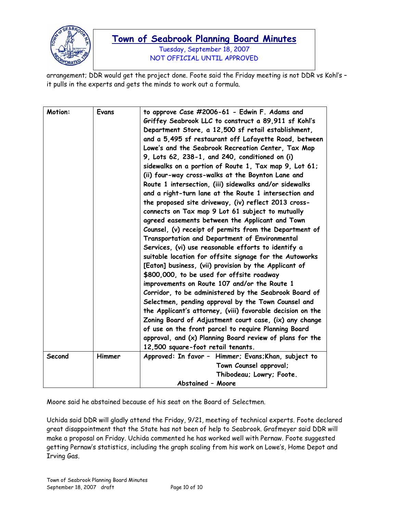

Tuesday, September 18, 2007 NOT OFFICIAL UNTIL APPROVED

arrangement; DDR would get the project done. Foote said the Friday meeting is not DDR vs Kohl's – it pulls in the experts and gets the minds to work out a formula.

| Motion: | Evans  | to approve Case #2006-61 - Edwin F. Adams and<br>Griffey Seabrook LLC to construct a 89,911 sf Kohl's<br>Department Store, a 12,500 sf retail establishment,<br>and a 5,495 sf restaurant off Lafayette Road, between<br>Lowe's and the Seabrook Recreation Center, Tax Map<br>9, Lots 62, 238-1, and 240, conditioned on (i)<br>sidewalks on a portion of Route 1, Tax map 9, Lot 61;<br>(ii) four-way cross-walks at the Boynton Lane and<br>Route 1 intersection, (iii) sidewalks and/or sidewalks<br>and a right-turn lane at the Route 1 intersection and<br>the proposed site driveway, (iv) reflect 2013 cross-<br>connects on Tax map 9 Lot 61 subject to mutually<br>agreed easements between the Applicant and Town<br>Counsel, (v) receipt of permits from the Department of<br>Transportation and Department of Environmental<br>Services, (vi) use reasonable efforts to identify a<br>suitable location for offsite signage for the Autoworks<br>[Eaton] business, (vii) provision by the Applicant of<br>\$800,000, to be used for offsite roadway<br>improvements on Route 107 and/or the Route 1<br>Corridor, to be administered by the Seabrook Board of<br>Selectmen, pending approval by the Town Counsel and<br>the Applicant's attorney, (viii) favorable decision on the<br>Zoning Board of Adjustment court case, (ix) any change<br>of use on the front parcel to require Planning Board<br>approval, and (x) Planning Board review of plans for the<br>12,500 square-foot retail tenants. |
|---------|--------|---------------------------------------------------------------------------------------------------------------------------------------------------------------------------------------------------------------------------------------------------------------------------------------------------------------------------------------------------------------------------------------------------------------------------------------------------------------------------------------------------------------------------------------------------------------------------------------------------------------------------------------------------------------------------------------------------------------------------------------------------------------------------------------------------------------------------------------------------------------------------------------------------------------------------------------------------------------------------------------------------------------------------------------------------------------------------------------------------------------------------------------------------------------------------------------------------------------------------------------------------------------------------------------------------------------------------------------------------------------------------------------------------------------------------------------------------------------------------------------------------------------------|
|         |        |                                                                                                                                                                                                                                                                                                                                                                                                                                                                                                                                                                                                                                                                                                                                                                                                                                                                                                                                                                                                                                                                                                                                                                                                                                                                                                                                                                                                                                                                                                                     |
| Second  | Himmer | Approved: In favor - Himmer; Evans; Khan, subject to<br>Town Counsel approval;                                                                                                                                                                                                                                                                                                                                                                                                                                                                                                                                                                                                                                                                                                                                                                                                                                                                                                                                                                                                                                                                                                                                                                                                                                                                                                                                                                                                                                      |
|         |        | Thibodeau; Lowry; Foote.                                                                                                                                                                                                                                                                                                                                                                                                                                                                                                                                                                                                                                                                                                                                                                                                                                                                                                                                                                                                                                                                                                                                                                                                                                                                                                                                                                                                                                                                                            |
|         |        | <b>Abstained - Moore</b>                                                                                                                                                                                                                                                                                                                                                                                                                                                                                                                                                                                                                                                                                                                                                                                                                                                                                                                                                                                                                                                                                                                                                                                                                                                                                                                                                                                                                                                                                            |
|         |        |                                                                                                                                                                                                                                                                                                                                                                                                                                                                                                                                                                                                                                                                                                                                                                                                                                                                                                                                                                                                                                                                                                                                                                                                                                                                                                                                                                                                                                                                                                                     |

Moore said he abstained because of his seat on the Board of Selectmen.

Uchida said DDR will gladly attend the Friday, 9/21, meeting of technical experts. Foote declared great disappointment that the State has not been of help to Seabrook. Grafmeyer said DDR will make a proposal on Friday. Uchida commented he has worked well with Pernaw. Foote suggested getting Pernaw's statistics, including the graph scaling from his work on Lowe's, Home Depot and Irving Gas.